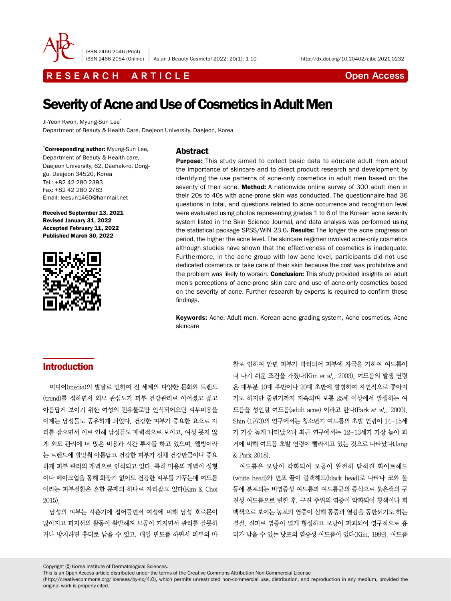

ISSN 2466-2046 (Print)

R E S E A R C H A R T I C L E CHE COME CONTROLLER CONTROLLER CONTROLLER CONTROLLER CONTROLLER CONTROLLER CONTROLLER CONTROLLER CONTROLLER CONTROLLER CONTROLLER CONTROLLER CONTROLLER CONTROLLER CONTROLLER CONTROLLER CONTROL

# Severity of Acne and Use of Cosmetics in Adult Men

Ji-Yeon Kwon, Myung-Sun Lee<sup>\*</sup> Department of Beauty & Health Care, Daejeon University, Daejeon, Korea

\* Corresponding author: Myung-Sun Lee, Department of Beauty & Health care, Daejeon University, 62, Daehak-ro, Donggu, Daejeon 34520, Korea Tel.: +82 42 280 2393 Fax: +82 42 280 2783 Email: leesun1460@hanmail.net

Received September 13, 2021 Revised January 31, 2022 Accepted February 11, 2022 Published March 30, 2022



#### **Abstract**

**Purpose:** This study aimed to collect basic data to educate adult men about the importance of skincare and to direct product research and development by identifying the use patterns of acne-only cosmetics in adult men based on the severity of their acne. Method: A nationwide online survey of 300 adult men in their 20s to 40s with acne-prone skin was conducted. The questionnaire had 36 questions in total, and questions related to acne occurrence and recognition level were evaluated using photos representing grades 1 to 6 of the Korean acne severity system listed in the Skin Science Journal, and data analysis was performed using the statistical package SPSS/WIN 23.0. Results: The longer the acne progression period, the higher the acne level. The skincare regimen involved acne-only cosmetics although studies have shown that the effectiveness of cosmetics is inadequate. Furthermore, in the acne group with low acne level, participants did not use dedicated cosmetics or take care of their skin because the cost was prohibitive and the problem was likely to worsen. **Conclusion:** This study provided insights on adult men's perceptions of acne-prone skin care and use of acne-only cosmetics based on the severity of acne. Further research by experts is required to confirm these findings.

Keywords: Acne, Adult men, Korean acne grading system, Acne cosmetics, Acne skincare

# Introduction

미디어(media)의 발달로 인하여 전 세계의 다양한 문화와 트렌드 (trend)를 접하면서 외모 관심도가 피부 건강관리로 이어졌고 젊고 아름답게 보이기 위한 여성의 전유물로만 인식되어오던 피부미용을 이제는 남성들도 공유하게 되었다. 건강한 피부가 중요한 요소로 자 리를 잡으면서 이로 인해 남성들도 매력적으로 보이고, 여성 못지 않 게 외모 관리에 더 많은 비용과 시간 투자를 하고 있으며, 웰빙이라 는 트렌드에 발맞춰 아름답고 건강한 피부가 신체 건강만큼이나 중요 하게 피부 관리의 개념으로 인식되고 있다. 특히 미용의 개념이 성형 이나 메이크업을 통해 화장기 없이도 건강한 피부를 가꾸는데 여드름 이라는 피부질환은 흔한 문제의 하나로 자리잡고 있다(Kim & Choi 2015).

남성의 피부는 사춘기에 접어들면서 여성에 비해 남성 호르몬이 많아지고 피지선의 활동이 활발해져 모공이 커지면서 관리를 잘못하 거나 방치하면 흉터로 남을 수 있고, 매일 면도를 하면서 피부의 마

찰로 인하여 안면 피부가 박리되어 피부에 자극을 가하여 여드름이 더 나기 쉬운 조건을 가졌다(Kim et al., 2003). 여드름의 발생 연령 은 대부분 10대 후반이나 20대 초반에 발병하여 자연적으로 좋아지 기도 하지만 중년기까지 지속되며 보통 25세 이상에서 발생하는 여 드름을 성인형 여드름(adult acne) 이라고 한다(Park et al., 2000). Shin (1973)의 연구에서는 청소년기 여드름의 초발 연령이 14-15세 가 가장 높게 나타났으나 최근 연구에서는 12-13세가 가장 높아 과 거에 비해 여드름 초발 연령이 빨라지고 있는 것으로 나타났다(Jang & Park 2018).

여드름은 모낭이 각화되어 모공이 완전히 닫혀진 화이트헤드 (white head)와 면포 끝이 블랙헤드(black head)로 나타나 코와 볼 등에 분포되는 비염증성 여드름과 여드름균의 증식으로 붉은색의 구 진성 여드름으로 변한 후, 구진 주위의 염증이 악화되어 황색이나 회 백색으로 보이는 농포와 염증이 심해 통증과 열감을 동반되기도 하는 결절, 진피로 염증이 넓게 형성하고 모낭이 파괴되어 영구적으로 흉 터가 남을 수 있는 낭포의 염증성 여드름이 있다(Kim, 1999). 여드름

Copyright ⓒ Korea Institute of Dermatological Sciences.

This is an Open Access article distributed under the terms of the Creative Commons Attribution Non-Commercial License

(http://creativecommons.org/licenses/by-nc/4.0), which permits unrestricted non-commercial use, distribution, and reproduction in any medium, provided the original work is properly cited.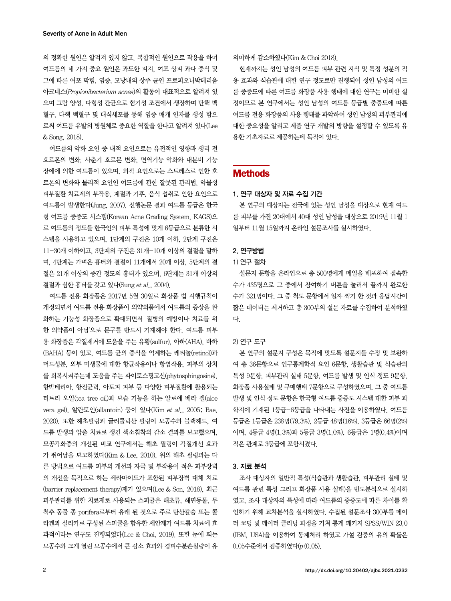의 정확한 원인은 알려져 있지 않고, 복합적인 원인으로 작용을 하며 여드름의 네 가지 중요 원인은 과도한 피지, 여포 상피 과다 증식 및 그에 따른 여포 막힘, 염증, 모낭내의 상주 균인 프로피오니박테리움 아크네스(Propionibacterium acnes)의 활동이 대표적으로 알려져 있 으며 그람 양성, 다형성 간균으로 혐기성 조건에서 생장하며 단핵 백 혈구, 다핵 백혈구 및 대식세포를 통해 염증 매개 인자를 생성 함으 로써 여드름 유발의 병원체로 중요한 역할을 한다고 알려져 있다(Lee & Song, 2018).

여드름의 악화 요인 중 내적 요인으로는 유전적인 영향과 생리 전 호르몬의 변화, 사춘기 호르몬 변화, 면역기능 악화와 내분비 기능 장애에 의한 여드름이 있으며, 외적 요인으로는 스트레스로 인한 호 르몬의 변화와 물리적 요인인 여드름에 관한 잘못된 관리법, 약물성 피부질환 치료제의 부작용, 계절과 기후, 음식 섭취로 인한 요인으로 여드름이 발생한다(Jung, 2007). 선행논문 결과 여드름 등급은 한국 형 여드름 중증도 시스템(Korean Acne Grading System, KAGS)으 로 여드름의 정도를 한국인의 피부 특성에 맞게 6등급으로 분류한 시 스템을 사용하고 있으며, 1단계의 구진은 10개 이하, 2단계 구진은 11-30개 이하이고, 3단계의 구진은 31개-10개 이상의 결절을 말하 며, 4단계는 가벼운 흉터와 결절이 11개에서 20개 이상, 5단계의 결 절은 21개 이상의 중간 정도의 흉터가 있으며, 6단계는 31개 이상의 결절과 심한 흉터를 갖고 있다(Sung et al., 2004).

여드름 전용 화장품은 2017년 5월 30일로 화장품 법 시행규칙이 개정되면서 여드름 전용 화장품이 의약외품에서 여드름의 증상을 완 화하는 기능성 화장품으로 확대되면서 '질병의 예방이나 치료를 위 한 의약품이 아님'으로 문구를 반드시 기재해야 한다. 여드름 피부 용 화장품은 각질제거에 도움을 주는 유황(sulfur), 아하(AHA), 바하 (BAHA) 등이 있고, 여드름 균의 증식을 억제하는 레티놀(retinol)과 머드성분, 외부 미생물에 대한 항균작용이나 항염작용, 피부의 상처 를 회복시켜주는데 도움을 주는 파이토스핑고신(phytosphingosine), 항박테리아, 항진균력, 아토피 피부 등 다양한 피부질환에 활용되는 티트리 오일(tea tree oil)과 보습 기능을 하는 알로에 베라 겔(aloe vera gel), 알란토인(allantoin) 등이 있다(Kim et al., 2005; Bae, 2020). 또한 해초필링과 글리콜릭산 필링이 모공수와 블랙헤드, 여 드름 발생과 압출 치료로 생긴 색소침착의 감소 결과를 보고했으며, 모공각화증의 개선된 비교 연구에서는 해초 필링이 각질개선 효과 가 뛰어남을 보고하였다(Kim & Lee, 2010). 위의 해초 필링과는 다 른 방법으로 여드름 피부의 개선과 자극 및 부작용이 적은 피부장벽 의 개선을 목적으로 하는 세라마이드가 포함된 피부장벽 대체 치료 (barrier replacement therapy)제가 있으며(Lee & Son, 2018), 최근 피부관리를 위한 치료제로 사용되는 스피큘은 해초류, 해면동물, 무 척추 동물 종 porifera로부터 유래 된 것으로 주로 탄산칼슘 또는 콜 라겐과 실리카로 구성된 스피큘을 함유한 세안제가 여드름 치료에 효 과적이라는 연구도 진행되었다(Lee & Choi, 2019). 또한 눈에 띄는 모공수와 크게 열린 모공수에서 큰 감소 효과와 경피수분손실량이 유

의미하게 감소하였다(Kim & Choi 2018).

현재까지는 성인 남성의 여드름 피부 관련 지식 및 특정 성분의 적 용 효과와 식습관에 대한 연구 정도로만 진행되어 성인 남성의 여드 름 중증도에 따른 여드름 화장품 사용 행태에 대한 연구는 미비한 실 정이므로 본 연구에서는 성인 남성의 여드름 등급별 중증도에 따른 여드름 전용 화장품의 사용 행태를 파악하여 성인 남성의 피부관리에 대한 중요성을 알리고 제품 연구 개발의 방향을 설정할 수 있도록 유 용한 기초자료로 제공하는데 목적이 있다.

# **Methods**

#### 1. 연구 대상자 및 자료 수집 기간

본 연구의 대상자는 전국에 있는 성인 남성을 대상으로 현재 여드 름 피부를 가진 20대에서 40대 성인 남성을 대상으로 2019년 11월 1 일부터 11월 15일까지 온라인 설문조사를 실시하였다.

#### 2. 연구방법

#### 1) 연구 절차

설문지 문항을 온라인으로 총 500명에게 메일을 배포하여 접속한 수가 435명으로 그 중에서 참여하기 버튼을 눌러서 끝까지 완료한 수가 321명이다. 그 중 척도 문항에서 일자 찍기 한 것과 응답시간이 짧은 데이터는 제거하고 총 300부의 설문 자료를 수집하여 분석하였 다.

#### 2) 연구 도구

본 연구의 설문지 구성은 목적에 맞도록 설문지를 수정 및 보완하 여 총 36문항으로 인구통계학적 요인 6문항, 생활습관 및 식습관의 특성 9문항, 피부관리 실태 5문항, 여드름 발생 및 인식 정도 9문항, 화장품 사용실태 및 구매행태 7문항으로 구성하였으며, 그 중 여드름 발생 및 인식 정도 문항은 한국형 여드름 중증도 시스템 대한 피부 과 학지에 기재된 1등급-6등급을 나타내는 사진을 이용하였다. 여드름 등급은 1등급은 238명(79.3%), 2등급 48명(16%), 3등급은 66명(2%) 이며, 4등급 4명(1.3%)과 5등급 3명(1.0%), 6등급은 1명(0.4%)이며 적은 관계로 3등급에 포함시켰다.

#### 3. 자료 분석

조사 대상자의 일반적 특성(식습관과 생활습관, 피부관리 실태 및 여드름 관련 특성 그리고 화장품 사용 실태)을 빈도분석으로 실시하 였고, 조사 대상자의 특성에 따라 여드름의 중증도에 따른 차이를 확 인하기 위해 교차분석을 실시하였다. 수집된 설문조사 300부를 데이 터 코딩 및 데이터 클리닝 과정을 거쳐 통계 패키지 SPSS/WIN 23.0 (IBM, USA)을 이용하여 통계처리 하였고 가설 검증의 유의 확률은 0.05수준에서 검증하였다(p<0.05).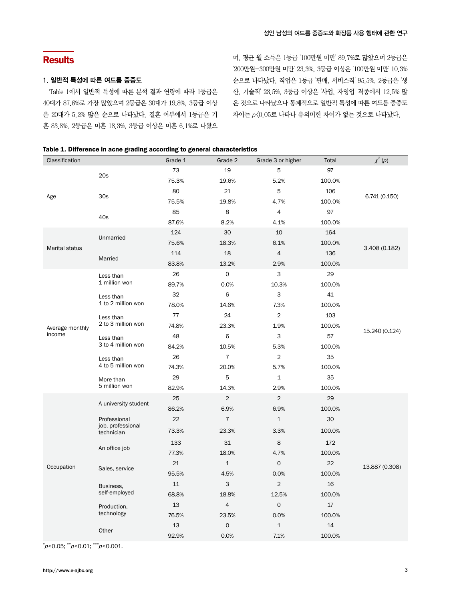# **Results**

#### 1. 일반적 특성에 따른 여드름 중증도

Table 1에서 일반적 특성에 따른 분석 결과 연령에 따라 1등급은 40대가 87.6%로 가장 많았으며 2등급은 30대가 19.8%, 3등급 이상 은 20대가 5.2% 많은 순으로 나타났다. 결혼 여부에서 1등급은 기 혼 83.8%, 2등급은 미혼 18.3%, 3등급 이상은 미혼 6.1%로 나왔으

며, 평균 월 소득은 1등급 '100만원 미만' 89.7%로 많았으며 2등급은 '200만원-300만원 미만' 23.3%, 3등급 이상은 '100만원 미만' 10.3% 순으로 나타났다. 직업은 1등급 '판매, 서비스직' 95.5%, 2등급은 '생 산, 기술직' 23.5%, 3등급 이상은 '사업, 자영업' 직종에서 12.5% 많 은 것으로 나타났으나 통계적으로 일반적 특성에 따른 여드름 중증도 차이는 p<0.05로 나타나 유의미한 차이가 없는 것으로 나타났다.

### Table 1. Difference in acne grading according to general characteristics

| Classification        |                                 | Grade 1 | Grade 2        | Grade 3 or higher   | Total  | $\chi^2\left(\rho\right)$ |
|-----------------------|---------------------------------|---------|----------------|---------------------|--------|---------------------------|
|                       | 20s                             | 73      | 19             | 5                   | 97     |                           |
| Age                   |                                 | 75.3%   | 19.6%          | 5.2%                | 100.0% | 6.741(0.150)              |
|                       | 30s                             | 80      | 21             | 5                   | 106    |                           |
|                       |                                 | 75.5%   | 19.8%          | 4.7%                | 100.0% |                           |
|                       | 40s                             | 85      | 8              | 4                   | 97     |                           |
|                       |                                 | 87.6%   | 8.2%           | 4.1%                | 100.0% |                           |
|                       | Unmarried                       | 124     | 30             | 10                  | 164    |                           |
| <b>Marital status</b> |                                 | 75.6%   | 18.3%          | 6.1%                | 100.0% | 3.408 (0.182)             |
|                       | Married                         | 114     | 18             | 4                   | 136    |                           |
|                       |                                 | 83.8%   | 13.2%          | 2.9%                | 100.0% |                           |
|                       | Less than                       | 26      | 0              | 3                   | 29     |                           |
|                       | 1 million won                   | 89.7%   | 0.0%           | 10.3%               | 100.0% |                           |
|                       | Less than                       | 32      | 6              | 3                   | 41     |                           |
|                       | 1 to 2 million won              | 78.0%   | 14.6%          | 7.3%                | 100.0% |                           |
|                       | Less than<br>2 to 3 million won | 77      | 24             | $\overline{2}$      | 103    |                           |
| Average monthly       |                                 | 74.8%   | 23.3%          | 1.9%                | 100.0% | 15.240 (0.124)            |
| income                | Less than<br>3 to 4 million won | 48      | 6              | 3                   | 57     |                           |
|                       |                                 | 84.2%   | 10.5%          | 5.3%                | 100.0% |                           |
|                       | Less than<br>4 to 5 million won | 26      | $\overline{7}$ | $\overline{2}$      | 35     |                           |
|                       |                                 | 74.3%   | 20.0%          | 5.7%                | 100.0% |                           |
|                       | More than                       | 29      | 5              | $\mathbf 1$         | 35     |                           |
|                       | 5 million won                   | 82.9%   | 14.3%          | 2.9%                | 100.0% |                           |
|                       |                                 | 25      | $\overline{2}$ | $\overline{2}$      | 29     |                           |
|                       | A university student            | 86.2%   | 6.9%           | 6.9%                | 100.0% |                           |
|                       | Professional                    | 22      | $\overline{7}$ | $\mathbf 1$         | 30     |                           |
|                       | job, professional<br>technician | 73.3%   | 23.3%          | 3.3%                | 100.0% |                           |
|                       |                                 | 133     | 31             | 8                   | 172    |                           |
|                       | An office job                   | 77.3%   | 18.0%          | 4.7%                | 100.0% |                           |
| Occupation            |                                 | 21      | $\mathbf{1}$   | 0                   | 22     | 13.887 (0.308)            |
|                       | Sales, service                  | 95.5%   | 4.5%           | 0.0%                | 100.0% |                           |
|                       | Business,                       | 11      | 3              | $\overline{c}$      | 16     |                           |
|                       | self-employed                   | 68.8%   | 18.8%          | 12.5%               | 100.0% |                           |
|                       | Production,                     | 13      | $\overline{4}$ | $\mathsf{O}\xspace$ | 17     |                           |
|                       | technology                      | 76.5%   | 23.5%          | 0.0%                | 100.0% |                           |
|                       |                                 | 13      | 0              | $\mathbf 1$         | 14     |                           |
|                       | Other                           | 92.9%   | 0.0%           | 7.1%                | 100.0% |                           |

\* p<0.05; \*\*p<0.01; \*\*\*p<0.001.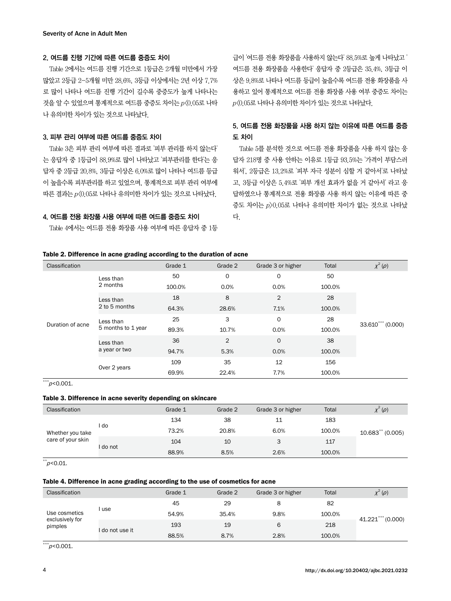### 2. 여드름 진행 기간에 따른 여드름 중증도 차이

Table 2에서는 여드름 진행 기간으로 1등급은 2개월 미만에서 가장 많았고 2등급 2-5개월 미만 28.6%, 3등급 이상에서는 2년 이상 7.7% 로 많이 나타나 여드름 진행 기간이 길수록 중증도가 높게 나타나는 것을 알 수 있었으며 통계적으로 여드름 중증도 차이는 p<0.05로 나타 나 유의미한 차이가 있는 것으로 나타났다.

#### 3. 피부 관리 여부에 따른 여드름 중증도 차이

Table 3은 피부 관리 여부에 따른 결과로 '피부 관리를 하지 않는다' 는 응답자 중 1등급이 88.9%로 많이 나타났고 '피부관리를 한다'는 응 답자 중 2등급 20.8%, 3등급 이상은 6.0%로 많이 나타나 여드름 등급 이 높을수록 피부관리를 하고 있었으며, 통계적으로 피부 관리 여부에 따른 결과는 p<0.05로 나타나 유의미한 차이가 있는 것으로 나타났다.

### 4. 여드름 전용 화장품 사용 여부에 따른 여드름 중증도 차이

Table 4에서는 여드름 전용 화장품 사용 여부에 따른 응답자 중 1등

급이 '여드름 전용 화장품을 사용하지 않는다' 88.5%로 높게 나타났고 ' 여드름 전용 화장품을 사용한다' 응답자 중 2등급은 35.4%, 3등급 이 상은 9.8%로 나타나 여드름 등급이 높을수록 여드름 전용 화장품을 사 용하고 있어 통계적으로 여드름 전용 화장품 사용 여부 중증도 차이는  $p(0.05E$  나타나 유의미한 차이가 있는 것으로 나타났다.

# 5. 여드름 전용 화장품을 사용 하지 않는 이유에 따른 여드름 중증 도 차이

Table 5를 분석한 것으로 여드름 전용 화장품을 사용 하지 않는 응 답자 218명 중 사용 안하는 이유로 1등급 93.5%는 '가격이 부담스러 워서', 2등급은 13.2%로 '피부 자극 성분이 심할 거 같아서'로 나타났 고, 3등급 이상은 5.4%로 '피부 개선 효과가 없을 거 같아서' 라고 응 답하였으나 통계적으로 전용 화장품 사용 하지 않는 이유에 따른 중 증도 차이는 p>0.05로 나타나 유의미한 차이가 없는 것으로 나타났 다.

#### Table 2. Difference in acne grading according to the duration of acne

| Classification   |                                 | Grade 1 | Grade 2     | Grade 3 or higher | Total  | $\chi^2(\rho)$    |
|------------------|---------------------------------|---------|-------------|-------------------|--------|-------------------|
|                  | Less than                       | 50      | $\mathbf 0$ | 0                 | 50     | 33.610*** (0.000) |
|                  | 2 months                        | 100.0%  | 0.0%        | 0.0%              | 100.0% |                   |
|                  | Less than                       | 18      | 8           | $\overline{2}$    | 28     |                   |
| Duration of acne | 2 to 5 months                   | 64.3%   | 28.6%       | 7.1%              | 100.0% |                   |
|                  | Less than<br>5 months to 1 year | 25      | 3           | 0                 | 28     |                   |
|                  |                                 | 89.3%   | 10.7%       | 0.0%              | 100.0% |                   |
|                  | Less than                       | 36      | 2           | $\mathbf 0$       | 38     |                   |
|                  | a year or two                   | 94.7%   | 5.3%        | 0.0%              | 100.0% |                   |
|                  |                                 | 109     | 35          | 12                | 156    |                   |
|                  | Over 2 years                    | 69.9%   | 22.4%       | 7.7%              | 100.0% |                   |

 $\sqrt{x}$ \*\*\*p<0.001.

#### Table 3. Difference in acne severity depending on skincare

| Classification                        |        | Grade 1 | Grade 2 | Grade 3 or higher | Total  | $\chi^2(\rho)$     |
|---------------------------------------|--------|---------|---------|-------------------|--------|--------------------|
| Whether you take<br>care of your skin |        | 134     | 38      | 11                | 183    | $10.683**$ (0.005) |
|                                       | do     | 73.2%   | 20.8%   | 6.0%              | 100.0% |                    |
|                                       |        | 104     | 10      | 3                 | 117    |                    |
|                                       | do not | 88.9%   | 8.5%    | 2.6%              | 100.0% |                    |

 $*$  $p$ <0.01.

#### Table 4. Difference in acne grading according to the use of cosmetics for acne

| Classification                              |               | Grade 1 | Grade 2 | Grade 3 or higher | Total  | $\chi^2(\rho)$       |
|---------------------------------------------|---------------|---------|---------|-------------------|--------|----------------------|
|                                             | use           | 45      | 29      | 8                 | 82     | $41.221$ *** (0.000) |
| Use cosmetics<br>exclusively for<br>pimples |               | 54.9%   | 35.4%   | 9.8%              | 100.0% |                      |
|                                             | do not use it | 193     | 19      | 6                 | 218    |                      |
|                                             |               | 88.5%   | 8.7%    | 2.8%              | 100.0% |                      |

 $*^{**}p<0.001$ .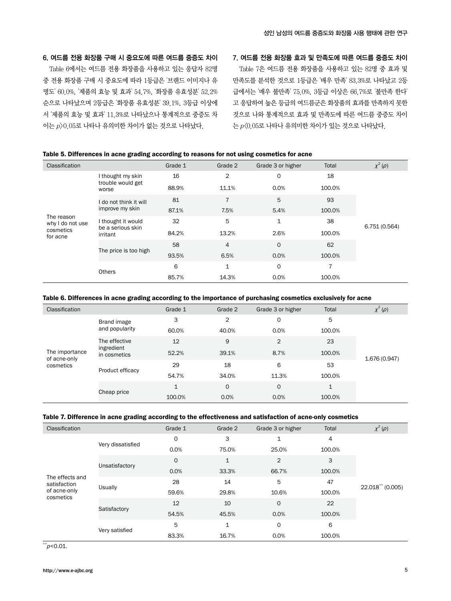### 6. 여드름 전용 화장품 구매 시 중요도에 따른 여드름 중증도 차이

Table 6에서는 여드름 전용 화장품을 사용하고 있는 응답자 82명 중 전용 화장품 구매 시 중요도에 따라 1등급은 '브랜드 이미지나 유 명도' 60.0%, '제품의 효능 및 효과' 54.7%, '화장품 유효성분' 52.2% 순으로 나타났으며 2등급은 '화장품 유효성분' 39.1%, 3등급 이상에 서 '제품의 효능 및 효과' 11.3%로 나타났으나 통계적으로 중증도 차 이는 p>0.05로 나타나 유의미한 차이가 없는 것으로 나타났다.

#### 7. 여드름 전용 화장품 효과 및 만족도에 따른 여드름 중증도 차이

Table 7은 여드름 전용 화장품을 사용하고 있는 82명 중 효과 및 만족도를 분석한 것으로 1등급은 '매우 만족' 83.3%로 나타났고 2등 급에서는 '매우 불만족' 75.0%, 3등급 이상은 66.7%로 '불만족 한다' 고 응답하여 높은 등급의 여드름군은 화장품의 효과를 만족하지 못한 것으로 나와 통계적으로 효과 및 만족도에 따른 여드름 중증도 차이 는 p<0.05로 나타나 유의미한 차이가 있는 것으로 나타났다.

#### Table 5. Differences in acne grading according to reasons for not using cosmetics for acne

| Classification                 |                                                     | Grade 1 | Grade 2        | Grade 3 or higher | Total  | $\chi^2(\rho)$ |
|--------------------------------|-----------------------------------------------------|---------|----------------|-------------------|--------|----------------|
|                                | I thought my skin<br>trouble would get              | 16      | $\overline{2}$ | 0                 | 18     | 6.751(0.564)   |
|                                | worse                                               | 88.9%   | 11.1%          | 0.0%              | 100.0% |                |
|                                | do not think it will                                | 81      | $\overline{7}$ | 5                 | 93     |                |
| The reason<br>why I do not use | improve my skin                                     | 87.1%   | 7.5%           | 5.4%              | 100.0% |                |
|                                | I thought it would<br>be a serious skin<br>irritant | 32      | 5              | $\mathbf{1}$      | 38     |                |
| cosmetics<br>for acne          |                                                     | 84.2%   | 13.2%          | 2.6%              | 100.0% |                |
|                                | The price is too high                               | 58      | $\overline{4}$ | 0                 | 62     |                |
|                                |                                                     | 93.5%   | 6.5%           | 0.0%              | 100.0% |                |
|                                |                                                     | 6       | 1              | 0                 |        |                |
|                                | Others                                              | 85.7%   | 14.3%          | 0.0%              | 100.0% |                |

#### Table 6. Differences in acne grading according to the importance of purchasing cosmetics exclusively for acne

| Classification                              |                                             | Grade 1      | Grade 2 | Grade 3 or higher | Total  | $\chi^2(\rho)$ |
|---------------------------------------------|---------------------------------------------|--------------|---------|-------------------|--------|----------------|
| The importance<br>of acne-only<br>cosmetics | Brand image<br>and popularity               | 3            | 2       | 0                 | 5      | 1.676 (0.947)  |
|                                             |                                             | 60.0%        | 40.0%   | 0.0%              | 100.0% |                |
|                                             | The effective<br>ingredient<br>in cosmetics | 12           | 9       | $\overline{2}$    | 23     |                |
|                                             |                                             | 52.2%        | 39.1%   | 8.7%              | 100.0% |                |
|                                             | Product efficacy                            | 29           | 18      | 6                 | 53     |                |
|                                             |                                             | 54.7%        | 34.0%   | 11.3%             | 100.0% |                |
|                                             | Cheap price                                 | $\mathbf{1}$ | 0       | 0                 | 1      |                |
|                                             |                                             | 100.0%       | 0.0%    | 0.0%              | 100.0% |                |

#### Table 7. Difference in acne grading according to the effectiveness and satisfaction of acne-only cosmetics

| Classification                                               |                   | Grade 1     | Grade 2      | Grade 3 or higher | Total  | $\chi^2\left(\rho\right)$ |
|--------------------------------------------------------------|-------------------|-------------|--------------|-------------------|--------|---------------------------|
|                                                              |                   | $\mathbf 0$ | 3            | $\mathbf{1}$      | 4      | 22.018** (0.005)          |
|                                                              | Very dissatisfied | 0.0%        | 75.0%        | 25.0%             | 100.0% |                           |
|                                                              |                   | $\mathbf 0$ | $\mathbf{1}$ | $\overline{2}$    | 3      |                           |
| The effects and<br>satisfaction<br>of acne-only<br>cosmetics | Unsatisfactory    | 0.0%        | 33.3%        | 66.7%             | 100.0% |                           |
|                                                              | Usually           | 28          | 14           | 5                 | 47     |                           |
|                                                              |                   | 59.6%       | 29.8%        | 10.6%             | 100.0% |                           |
|                                                              | Satisfactory      | 12          | 10           | $\circ$           | 22     |                           |
|                                                              |                   | 54.5%       | 45.5%        | 0.0%              | 100.0% |                           |
|                                                              | Very satisfied    | 5           | 1            | 0                 | 6      |                           |
|                                                              |                   | 83.3%       | 16.7%        | 0.0%              | 100.0% |                           |

 $*^{*}p<0.01$ .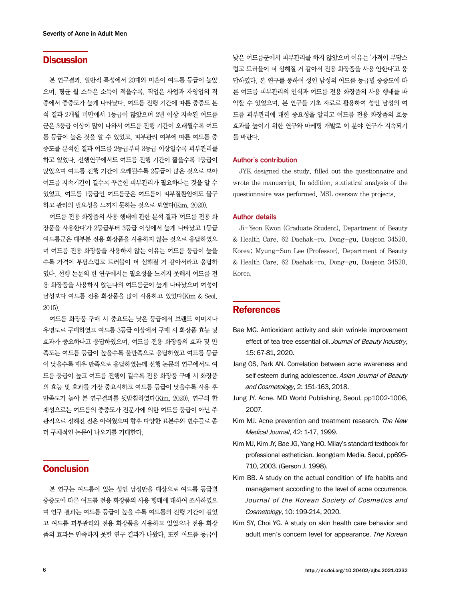# **Discussion**

본 연구결과, 일반적 특성에서 20대와 미혼이 여드름 등급이 높았 으며, 평균 월 소득은 소득이 적을수록, 직업은 사업과 자영업의 직 종에서 중증도가 높게 나타났다. 여드름 진행 기간에 따른 중증도 분 석 결과 2개월 미만에서 1등급이 많았으며 2년 이상 지속된 여드름 군은 3등급 이상이 많이 나와서 여드름 진행 기간이 오래될수록 여드 름 등급이 높은 것을 알 수 있었고, 피부관리 여부에 따른 여드름 중 증도를 분석한 결과 여드름 2등급부터 3등급 이상일수록 피부관리를 하고 있었다. 선행연구에서도 여드름 진행 기간이 짧을수록 1등급이 많았으며 여드름 진행 기간이 오래될수록 2등급이 많은 것으로 보아 여드름 지속기간이 길수록 꾸준한 피부관리가 필요하다는 것을 알 수 있었고, 여드름 1등급인 여드름군은 여드름이 피부질환임에도 불구 하고 관리의 필요성을 느끼지 못하는 것으로 보였다(Kim, 2020).

여드름 전용 화장품의 사용 행태에 관한 분석 결과 '여드름 전용 화 장품을 사용한다'가 2등급부터 3등급 이상에서 높게 나타났고 1등급 여드름군은 대부분 전용 화장품을 사용하지 않는 것으로 응답하였으 며 여드름 전용 화장품을 사용하지 않는 이유는 여드름 등급이 높을 수록 가격이 부담스럽고 트러블이 더 심해질 거 같아서라고 응답하 였다. 선행 논문의 한 연구에서는 필요성을 느끼지 못해서 여드름 전 용 화장품을 사용하지 않는다의 여드름군이 높게 나타났으며 여성이 남성보다 여드름 전용 화장품을 많이 사용하고 있었다(Kim & Seol, 2015).

여드름 화장품 구매 시 중요도는 낮은 등급에서 브랜드 이미지나 유명도로 구매하였고 여드름 3등급 이상에서 구매 시 화장품 효능 및 효과가 중요하다고 응답하였으며, 여드름 전용 화장품의 효과 및 만 족도는 여드름 등급이 높을수록 불만족으로 응답하였고 여드름 등급 이 낮을수록 매우 만족으로 응답하였는데 선행 논문의 연구에서도 여 드름 등급이 높고 여드름 진행이 길수록 전용 화장품 구매 시 화장품 의 효능 및 효과를 가장 중요시하고 여드름 등급이 낮을수록 사용 후 만족도가 높아 본 연구결과를 뒷받침하였다(Kim, 2020). 연구의 한 계성으로는 여드름의 중증도가 전문가에 의한 여드름 등급이 아닌 주 관적으로 정해진 점은 아쉬웠으며 향후 다양한 표본수와 변수들로 좀 더 구체적인 논문이 나오기를 기대한다.

# **Conclusion**

본 연구는 여드름이 있는 성인 남성만을 대상으로 여드름 등급별 중증도에 따른 여드름 전용 화장품의 사용 행태에 대하여 조사하였으 며 연구 결과는 여드름 등급이 높을 수록 여드름의 진행 기간이 길었 고 여드름 피부관리와 전용 화장품을 사용하고 있었으나 전용 화장 품의 효과는 만족하지 못한 연구 결과가 나왔다. 또한 여드름 등급이

낮은 여드름군에서 피부관리를 하지 않았으며 이유는 '가격이 부담스 럽고 트러블이 더 심해질 거 같아서 전용 화장품을 사용 안한다'고 응 답하였다. 본 연구를 통하여 성인 남성의 여드름 등급별 중증도에 따 른 여드름 피부관리의 인식과 여드름 전용 화장품의 사용 행태를 파 악할 수 있었으며, 본 연구를 기초 자료로 활용하여 성인 남성의 여 드름 피부관리에 대한 중요성을 알리고 여드름 전용 화장품의 효능 효과를 높이기 위한 연구와 마케팅 개발로 이 분야 연구가 지속되기 를 바란다.

#### Author's contribution

JYK designed the study, filled out the questionnaire and wrote the manuscript. In addition, statistical analysis of the questionnaire was performed. MSL oversaw the projects.

#### Author details

Ji-Yeon Kwon (Graduate Student), Department of Beauty & Health Care, 62 Daehak-ro, Dong-gu, Daejeon 34520, Korea; Myung-Sun Lee (Professor), Department of Beauty & Health Care, 62 Daehak-ro, Dong-gu, Daejeon 34520, Korea.

# **References**

- Bae MG. Antioxidant activity and skin wrinkle improvement effect of tea tree essential oil. Journal of Beauty Industry, 15: 67-81, 2020.
- Jang OS, Park AN. Correlation between acne awareness and self-esteem during adolescence. Asian Journal of Beauty and Cosmetology, 2: 151-163, 2018.
- Jung JY. Acne. MD World Publishing, Seoul, pp1002-1006, 2007.
- Kim MJ. Acne prevention and treatment research. The New Medical Journal, 42: 1-17, 1999.
- Kim MJ, Kim JY, Bae JG, Yang HO. Milay's standard textbook for professional esthetician. Jeongdam Media, Seoul, pp695- 710, 2003. (Gerson J. 1998).
- Kim BB. A study on the actual condition of life habits and management according to the level of acne occurrence. Journal of the Korean Society of Cosmetics and Cosmetology, 10: 199-214, 2020.
- Kim SY, Choi YG. A study on skin health care behavior and adult men's concern level for appearance. The Korean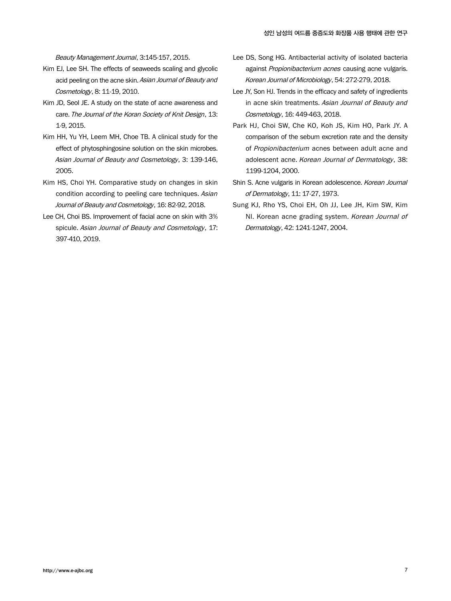Beauty Management Journal, 3:145-157, 2015.

- Kim EJ, Lee SH. The effects of seaweeds scaling and glycolic acid peeling on the acne skin. Asian Journal of Beauty and Cosmetology, 8: 11-19, 2010.
- Kim JD, Seol JE. A study on the state of acne awareness and care. The Journal of the Koran Society of Knit Design, 13: 1-9, 2015.
- Kim HH, Yu YH, Leem MH, Choe TB. A clinical study for the effect of phytosphingosine solution on the skin microbes. Asian Journal of Beauty and Cosmetology, 3: 139-146, 2005.
- Kim HS, Choi YH. Comparative study on changes in skin condition according to peeling care techniques. Asian Journal of Beauty and Cosmetology, 16: 82-92, 2018.
- Lee CH, Choi BS. Improvement of facial acne on skin with 3% spicule. Asian Journal of Beauty and Cosmetology, 17: 397-410, 2019.
- Lee DS, Song HG. Antibacterial activity of isolated bacteria against Propionibacterium acnes causing acne vulgaris. Korean Journal of Microbiology, 54: 272-279, 2018.
- Lee JY, Son HJ. Trends in the efficacy and safety of ingredients in acne skin treatments. Asian Journal of Beauty and Cosmetology, 16: 449-463, 2018.
- Park HJ, Choi SW, Che KO, Koh JS, Kim HO, Park JY. A comparison of the sebum excretion rate and the density of Propionibacterium acnes between adult acne and adolescent acne. Korean Journal of Dermatology, 38: 1199-1204, 2000.
- Shin S. Acne vulgaris in Korean adolescence. Korean Journal of Dermatology, 11: 17-27, 1973.
- Sung KJ, Rho YS, Choi EH, Oh JJ, Lee JH, Kim SW, Kim NI. Korean acne grading system. Korean Journal of Dermatology, 42: 1241-1247, 2004.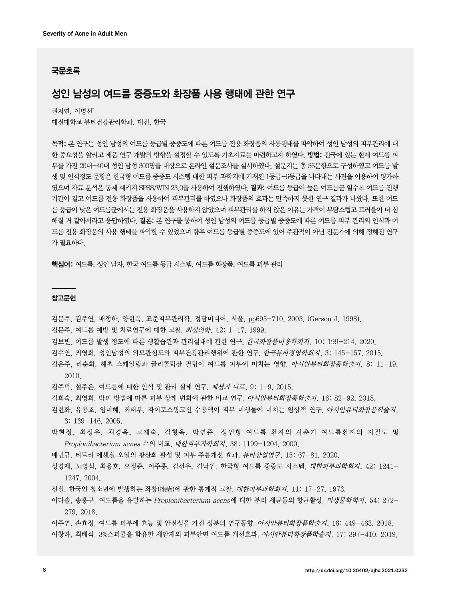#### 국문초록

# 성인 남성의 여드름 중증도와 화장품 사용 행태에 관한 연구

권지연, 이명선\* 대전대학교 뷰티건강관리학과, 대전, 한국

목적: 본 연구는 성인 남성의 여드름 등급별 중증도에 따른 여드름 전용 화장품의 사용행태를 파악하여 성인 남성의 피부관리에 대 한 중요성을 알리고 제품 연구 개발의 방향을 설정할 수 있도록 기초자료를 마련하고자 하였다. 방법: 전국에 있는 현재 여드름 피 부를 가진 20대-40대 성인 남성 300명을 대상으로 온라인 설문조사를 실시하였다. 설문지는 총 36문항으로 구성하였고 여드름 발 생 및 인식정도 문항은 한국형 여드름 중증도 시스템 대한 피부 과학지에 기재된 1등급-6등급을 나타내는 사진을 이용하여 평가하 였으며 자료 분석은 통계 패키지 SPSS/WIN 23.0을 사용하여 진행하였다. 결과: 여드름 등급이 높은 여드름군 일수록 여드름 진행 기간이 길고 여드름 전용 화장품을 사용하여 피부관리를 하였으나 화장품의 효과는 만족하지 못한 연구 결과가 나왔다. 또한 여드 름 등급이 낮은 여드름군에서는 전용 화장품을 사용하지 않았으며 피부관리를 하지 않은 이유는 가격이 부담스럽고 트러블이 더 심 해질 거 같아서라고 응답하였다. 결론: 본 연구를 통하여 성인 남성의 여드름 등급별 중증도에 따른 여드름 피부 관리의 인식과 여 드름 전용 화장품의 사용 행태를 파악할 수 있었으며 향후 여드름 등급별 중증도에 있어 주관적이 아닌 전문가에 의해 정해진 연구 가 필요하다.

핵심어: 여드름, 성인 남자, 한국 여드름 등급 시스템, 여드름 화장품, 여드름 피부 관리

#### 참고문헌

- 김문주, 김주연, 배정하, 양현옥, 표준피부관리학. 정담미디어, 서울, pp695-710, 2003. (Gerson J, 1998).
- 김문주. 여드름 예방 및 치료연구에 대한 고찰. 최신의학, 42: 1-17, 1999.
- 김보빈. 여드름 발생 정도에 따른 생활습관과 관리실태에 관한 연구. 한국화장품미용학회지, 10: 199-214, 2020.
- 김수연, 최영희. 성인남성의 외모관심도와 피부건강관리행위에 관한 연구. 한국뷰티경영학회지, 3: 145-157, 2015.
- 김은주, 리순화. 해초 스케일링과 글리콜릭산 필링이 여드름 피부에 미치는 영향. 아시안뷰티화장품학술지, 8: 11-19, 2010.
- 김주덕, 설주은. 여드름에 대한 인식 및 관리 실태 연구. 패션과 니트, 9: 1-9, 2015.
- 김희숙, 최영희. 박피 방법에 따른 피부 상태 변화에 관한 비교 연구. 아시안뷰티화장품학술지, 16: 82-92, 2018.
- 김현화, 유용호, 임미혜, 최태부. 파이토스핑고신 수용액이 피부 미생물에 미치는 임상적 연구. 아시안뷰티화장품학술지, 3: 139-146, 2005.
- 박현정, 최성우, 채경옥, 고재숙, 김형옥, 박연준. 성인형 여드름 환자의 사춘기 여드름환자의 지질도 및 Propionibacterium acnes 수의 비교. 대한피부과학회지, 38: 1199-1204, 2000.

배민규. 티트리 에센셜 오일의 황산화 활성 및 피부 주름개선 효과. 뷰티산업연구, 15: 67-81, 2020.

- 성경제, 노영석, 최응호, 오정준, 이주흥, 김선우, 김낙인. 한국형 여드름 중증도 시스템. 대한피부과학회지, 42: 1241- 1247, 2004.
- 신실. 한국인 청소년에 발생하는 좌창(挫瘡)에 관한 통계적 고찰. 대한피부과학회지, 11: 17-27, 1973.
- 이다솔, 송홍규. 여드름을 유발하는 Propionibacterium acens에 대한 분리 세균들의 항균활성. 미생물학회지, 54: 272- 279, 2018.

이주연, 손효정. 여드름 피부에 효능 및 안전성을 가진 성분의 연구동향. 아시안뷰티화장품학술지, 16: 449-463, 2018. 이창하, 최배석. 3%스피큘을 함유한 세안제의 피부안면 여드름 개선효과. 아시안뷰티화장품학술지, 17: 397-410, 2019.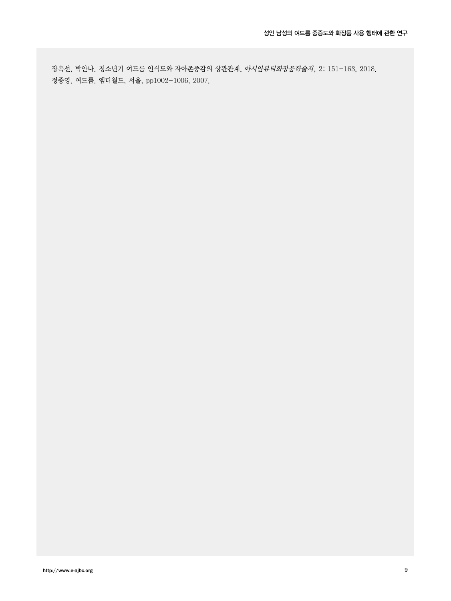장옥선, 박안나. 청소년기 여드름 인식도와 자아존중감의 상관관계. 아시안뷰티화장품학술지, 2: 151-163, 2018. 정종영. 여드름. 엠디월드, 서울, pp1002-1006, 2007.